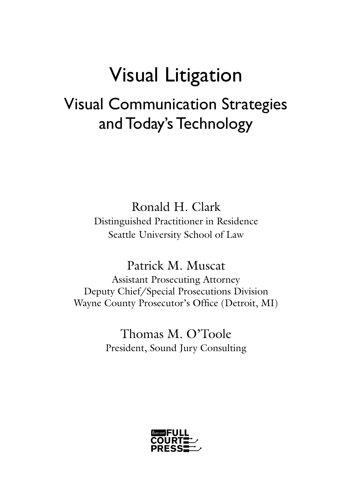# Visual Litigation Visual Communication Strategies and Today's Technology

Ronald H. Clark Distinguished Practitioner in Residence Seattle University School of Law

Patrick M. Muscat Assistant Prosecuting Attorney Deputy Chief/Special Prosecutions Division Wayne County Prosecutor's Office (Detroit, MI)

> Thomas M. O'Toole President, Sound Jury Consulting

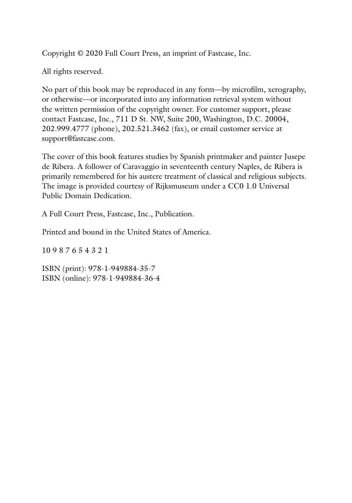Copyright © 2020 Full Court Press, an imprint of Fastcase, Inc.

All rights reserved.

No part of this book may be reproduced in any form—by microfilm, xerography, or otherwise—or incorporated into any information retrieval system without the written permission of the copyright owner. For customer support, please contact Fastcase, Inc., 711 D St. NW, Suite 200, Washington, D.C. 20004, 202.999.4777 (phone), 202.521.3462 (fax), or email customer service at support@fastcase.com.

The cover of this book features studies by Spanish printmaker and painter Jusepe de Ribera. A follower of Caravaggio in seventeenth century Naples, de Ribera is primarily remembered for his austere treatment of classical and religious subjects. The image is provided courtesy of Rijksmuseum under a CC0 1.0 Universal Public Domain Dedication.

A Full Court Press, Fastcase, Inc., Publication.

Printed and bound in the United States of America.

10 9 8 7 6 5 4 3 2 1

ISBN (print): 978-1-949884-35-7 ISBN (online): 978-1-949884-36-4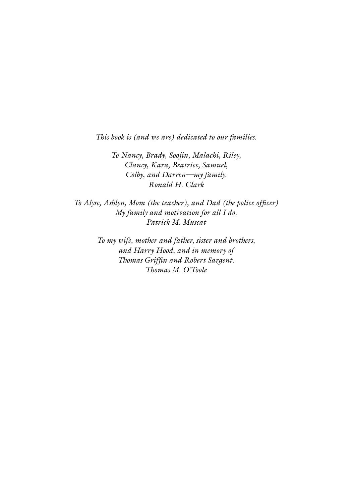*This book is (and we are) dedicated to our families.*

*To Nancy, Brady, Soojin, Malachi, Riley, Clancy, Kara, Beatrice, Samuel, Colby, and Darren—my family. Ronald H. Clark*

*To Alyse, Ashlyn, Mom (the teacher), and Dad (the police officer) My family and motivation for all I do. Patrick M. Muscat*

> *To my wife, mother and father, sister and brothers, and Harry Hood, and in memory of Thomas Griffin and Robert Sargent. Thomas M. O'Toole*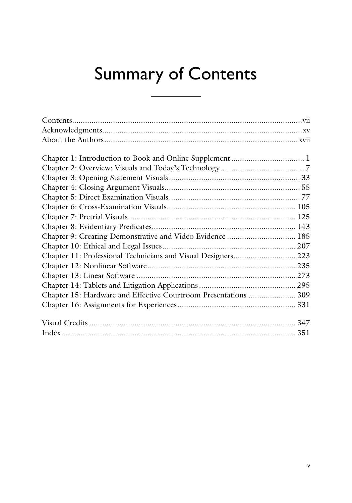# Summary of Contents

| Chapter 9: Creating Demonstrative and Video Evidence  185       |  |
|-----------------------------------------------------------------|--|
|                                                                 |  |
| Chapter 11: Professional Technicians and Visual Designers 223   |  |
|                                                                 |  |
|                                                                 |  |
|                                                                 |  |
| Chapter 15: Hardware and Effective Courtroom Presentations  309 |  |
|                                                                 |  |
|                                                                 |  |
|                                                                 |  |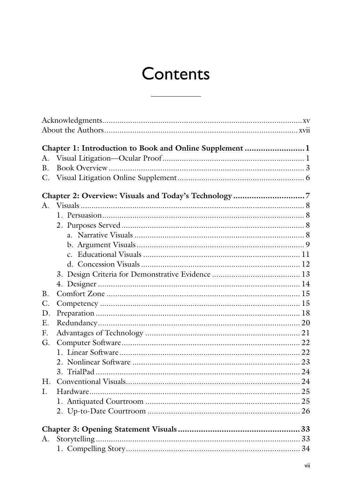## Contents

|             | Chapter 1: Introduction to Book and Online Supplement 1 |  |
|-------------|---------------------------------------------------------|--|
| А.          |                                                         |  |
| <b>B.</b>   |                                                         |  |
| $C$ .       |                                                         |  |
|             |                                                         |  |
| $A_{\cdot}$ |                                                         |  |
|             |                                                         |  |
|             |                                                         |  |
|             |                                                         |  |
|             |                                                         |  |
|             |                                                         |  |
|             |                                                         |  |
|             |                                                         |  |
|             |                                                         |  |
| B.          |                                                         |  |
| C.          |                                                         |  |
| D.          |                                                         |  |
| E.          |                                                         |  |
| F.          |                                                         |  |
| G.          |                                                         |  |
|             |                                                         |  |
|             |                                                         |  |
|             |                                                         |  |
| Η.          |                                                         |  |
| L.          |                                                         |  |
|             |                                                         |  |
|             |                                                         |  |
|             |                                                         |  |
| A.          |                                                         |  |
|             |                                                         |  |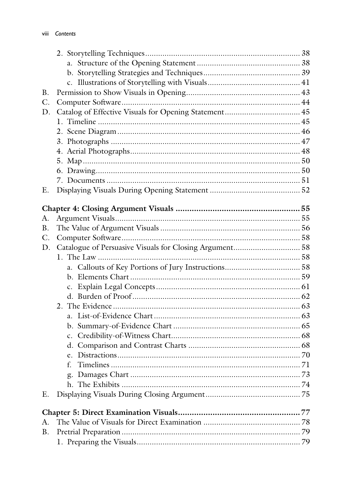| B. |                                                         |  |
|----|---------------------------------------------------------|--|
| C. |                                                         |  |
| D. |                                                         |  |
|    |                                                         |  |
|    |                                                         |  |
|    |                                                         |  |
|    |                                                         |  |
|    |                                                         |  |
|    |                                                         |  |
|    |                                                         |  |
| Ε. |                                                         |  |
|    |                                                         |  |
| А. |                                                         |  |
| B. |                                                         |  |
| C. |                                                         |  |
| D. | Catalogue of Persuasive Visuals for Closing Argument 58 |  |
|    |                                                         |  |
|    |                                                         |  |
|    |                                                         |  |
|    |                                                         |  |
|    |                                                         |  |
|    |                                                         |  |
|    |                                                         |  |
|    |                                                         |  |
|    |                                                         |  |
|    |                                                         |  |
|    |                                                         |  |
|    | f.                                                      |  |
|    |                                                         |  |
|    |                                                         |  |
| Ε. |                                                         |  |
|    |                                                         |  |
|    |                                                         |  |
| А. |                                                         |  |
| Β. |                                                         |  |
|    |                                                         |  |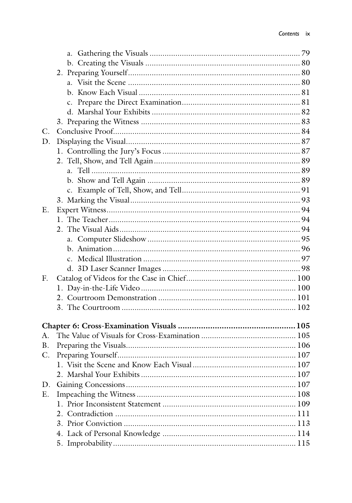| $C_{\cdot}$    |  |
|----------------|--|
| D.             |  |
|                |  |
|                |  |
|                |  |
|                |  |
|                |  |
|                |  |
| E.             |  |
|                |  |
|                |  |
|                |  |
|                |  |
|                |  |
|                |  |
| $F_{\cdot}$    |  |
|                |  |
|                |  |
|                |  |
|                |  |
| A.             |  |
| B.             |  |
| $\mathbf{C}$ . |  |
|                |  |
|                |  |
| D.             |  |
| Ε.             |  |
|                |  |
|                |  |
|                |  |
|                |  |
|                |  |
|                |  |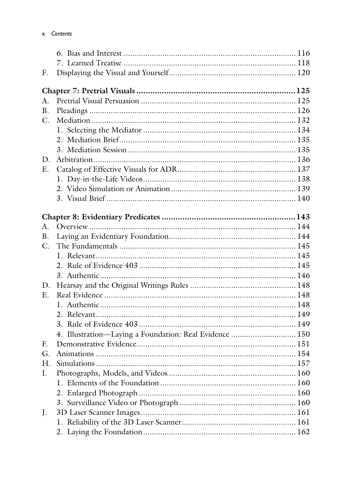| F.          |                                                         |  |
|-------------|---------------------------------------------------------|--|
|             |                                                         |  |
|             |                                                         |  |
| A.          |                                                         |  |
| <b>B.</b>   |                                                         |  |
| $C$ .       |                                                         |  |
|             |                                                         |  |
|             |                                                         |  |
|             |                                                         |  |
| D.          |                                                         |  |
| $E_{\cdot}$ |                                                         |  |
|             |                                                         |  |
|             |                                                         |  |
|             |                                                         |  |
|             |                                                         |  |
|             |                                                         |  |
| A.          |                                                         |  |
| <b>B.</b>   |                                                         |  |
| C.          |                                                         |  |
|             |                                                         |  |
|             |                                                         |  |
|             |                                                         |  |
| D.          |                                                         |  |
| $E_{\cdot}$ |                                                         |  |
|             |                                                         |  |
|             |                                                         |  |
|             |                                                         |  |
|             | 4. Illustration-Laying a Foundation: Real Evidence  150 |  |
| E.          |                                                         |  |
| G.          |                                                         |  |
| H.          |                                                         |  |
| Ι.          |                                                         |  |
|             |                                                         |  |
|             |                                                         |  |
|             |                                                         |  |
| J.          |                                                         |  |
|             |                                                         |  |
|             |                                                         |  |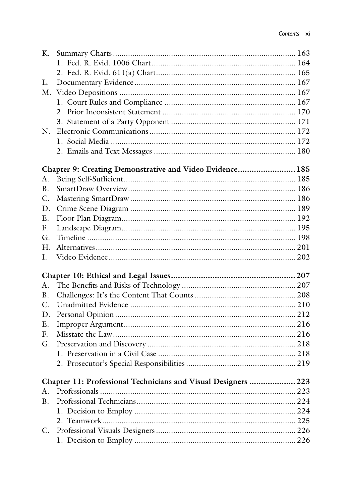| К.              |                                                               |  |
|-----------------|---------------------------------------------------------------|--|
|                 |                                                               |  |
|                 |                                                               |  |
| L.              |                                                               |  |
|                 |                                                               |  |
|                 |                                                               |  |
|                 |                                                               |  |
|                 |                                                               |  |
| $N_{\cdot}$     |                                                               |  |
|                 |                                                               |  |
|                 |                                                               |  |
|                 | Chapter 9: Creating Demonstrative and Video Evidence 185      |  |
| A.              |                                                               |  |
| <b>B.</b>       |                                                               |  |
| C.              |                                                               |  |
| D.              |                                                               |  |
| E.              |                                                               |  |
| $F_{\cdot}$     |                                                               |  |
| G.              |                                                               |  |
| H.              |                                                               |  |
| I.              |                                                               |  |
|                 |                                                               |  |
| A.              |                                                               |  |
| <b>B.</b>       |                                                               |  |
| C.              |                                                               |  |
| D.              |                                                               |  |
| E.              |                                                               |  |
| E.              |                                                               |  |
| G.              |                                                               |  |
|                 |                                                               |  |
|                 |                                                               |  |
|                 | Chapter 11: Professional Technicians and Visual Designers 223 |  |
| A.              |                                                               |  |
| <b>B.</b>       |                                                               |  |
|                 |                                                               |  |
|                 |                                                               |  |
| $\mathcal{C}$ . |                                                               |  |
|                 |                                                               |  |
|                 |                                                               |  |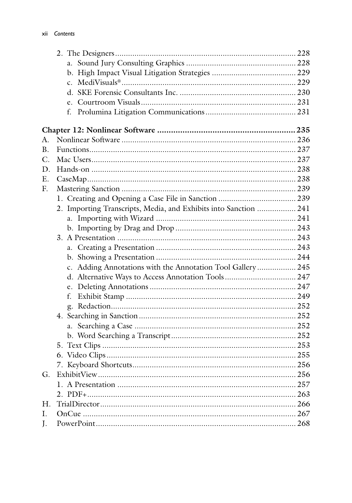| А.          |                                                                  |  |
|-------------|------------------------------------------------------------------|--|
| B.          |                                                                  |  |
| $C$ .       |                                                                  |  |
| D.          |                                                                  |  |
| Ε.          |                                                                  |  |
| $F_{\rm r}$ |                                                                  |  |
|             |                                                                  |  |
|             | 2. Importing Transcripts, Media, and Exhibits into Sanction  241 |  |
|             |                                                                  |  |
|             |                                                                  |  |
|             |                                                                  |  |
|             |                                                                  |  |
|             |                                                                  |  |
|             | c. Adding Annotations with the Annotation Tool Gallery 245       |  |
|             | d. Alternative Ways to Access Annotation Tools 247               |  |
|             |                                                                  |  |
|             | f.                                                               |  |
|             |                                                                  |  |
|             |                                                                  |  |
|             |                                                                  |  |
|             |                                                                  |  |
|             |                                                                  |  |
|             |                                                                  |  |
|             |                                                                  |  |
| G.          |                                                                  |  |
|             |                                                                  |  |
|             |                                                                  |  |
| Η.          |                                                                  |  |
| Ι.          |                                                                  |  |
| J.          |                                                                  |  |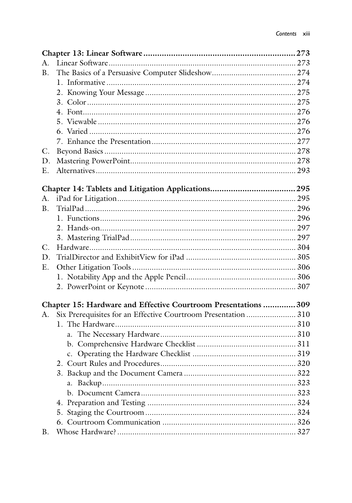| A.          |                                                                 |  |
|-------------|-----------------------------------------------------------------|--|
| B.          |                                                                 |  |
|             |                                                                 |  |
|             |                                                                 |  |
|             |                                                                 |  |
|             |                                                                 |  |
|             |                                                                 |  |
|             |                                                                 |  |
|             |                                                                 |  |
| C.          |                                                                 |  |
| D.          |                                                                 |  |
| E.          |                                                                 |  |
|             |                                                                 |  |
|             |                                                                 |  |
| A.          |                                                                 |  |
| B.          |                                                                 |  |
|             |                                                                 |  |
|             |                                                                 |  |
|             |                                                                 |  |
| $C_{\cdot}$ |                                                                 |  |
| D.          |                                                                 |  |
| E.          |                                                                 |  |
|             |                                                                 |  |
|             |                                                                 |  |
|             | Chapter 15: Hardware and Effective Courtroom Presentations  309 |  |
| А.          | Six Prerequisites for an Effective Courtroom Presentation  310  |  |
|             |                                                                 |  |
|             |                                                                 |  |
|             |                                                                 |  |
|             |                                                                 |  |
|             |                                                                 |  |
|             |                                                                 |  |
|             |                                                                 |  |
|             |                                                                 |  |
|             |                                                                 |  |
|             |                                                                 |  |
|             |                                                                 |  |
| <b>B.</b>   |                                                                 |  |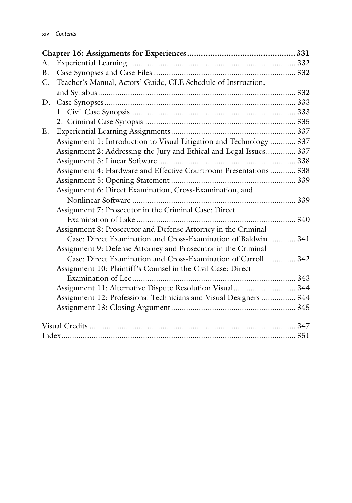| A. |                                                                     |  |
|----|---------------------------------------------------------------------|--|
| B. |                                                                     |  |
| C. | Teacher's Manual, Actors' Guide, CLE Schedule of Instruction,       |  |
|    |                                                                     |  |
| D. |                                                                     |  |
|    |                                                                     |  |
|    |                                                                     |  |
| Ε. |                                                                     |  |
|    | Assignment 1: Introduction to Visual Litigation and Technology  337 |  |
|    | Assignment 2: Addressing the Jury and Ethical and Legal Issues 337  |  |
|    |                                                                     |  |
|    | Assignment 4: Hardware and Effective Courtroom Presentations  338   |  |
|    |                                                                     |  |
|    | Assignment 6: Direct Examination, Cross-Examination, and            |  |
|    |                                                                     |  |
|    | Assignment 7: Prosecutor in the Criminal Case: Direct               |  |
|    |                                                                     |  |
|    | Assignment 8: Prosecutor and Defense Attorney in the Criminal       |  |
|    | Case: Direct Examination and Cross-Examination of Baldwin 341       |  |
|    | Assignment 9: Defense Attorney and Prosecutor in the Criminal       |  |
|    | Case: Direct Examination and Cross-Examination of Carroll  342      |  |
|    | Assignment 10: Plaintiff's Counsel in the Civil Case: Direct        |  |
|    |                                                                     |  |
|    | Assignment 11: Alternative Dispute Resolution Visual 344            |  |
|    | Assignment 12: Professional Technicians and Visual Designers  344   |  |
|    |                                                                     |  |
|    |                                                                     |  |
|    |                                                                     |  |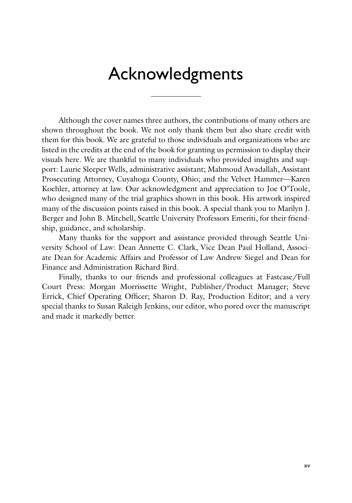### Acknowledgments

Although the cover names three authors, the contributions of many others are shown throughout the book. We not only thank them but also share credit with them for this book. We are grateful to those individuals and organizations who are listed in the credits at the end of the book for granting us permission to display their visuals here. We are thankful to many individuals who provided insights and support: Laurie Sleeper Wells, administrative assistant; Mahmoud Awadallah, Assistant Prosecuting Attorney, Cuyahoga County, Ohio; and the Velvet Hammer—Karen Koehler, attorney at law. Our acknowledgment and appreciation to Joe O'Toole, who designed many of the trial graphics shown in this book. His artwork inspired many of the discussion points raised in this book. A special thank you to Marilyn J. Berger and John B. Mitchell, Seattle University Professors Emeriti, for their friendship, guidance, and scholarship.

Many thanks for the support and assistance provided through Seattle University School of Law: Dean Annette C. Clark, Vice Dean Paul Holland, Associate Dean for Academic Affairs and Professor of Law Andrew Siegel and Dean for Finance and Administration Richard Bird.

Finally, thanks to our friends and professional colleagues at Fastcase/Full Court Press: Morgan Morrissette Wright, Publisher/Product Manager; Steve Errick, Chief Operating Officer; Sharon D. Ray, Production Editor; and a very special thanks to Susan Raleigh Jenkins, our editor, who pored over the manuscript and made it markedly better.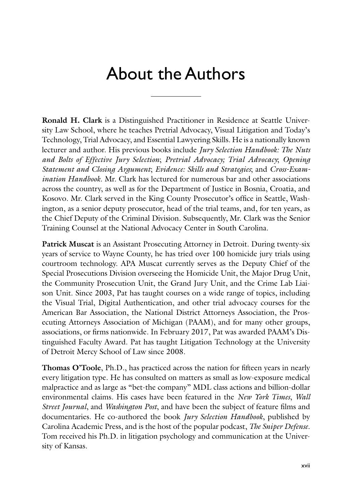## About the Authors

**Ronald H. Clark** is a Distinguished Practitioner in Residence at Seattle University Law School, where he teaches Pretrial Advocacy, Visual Litigation and Today's Technology, Trial Advocacy, and Essential Lawyering Skills. He is a nationally known lecturer and author. His previous books include *Jury Selection Handbook: The Nuts and Bolts of Effective Jury Selection*; *Pretrial Advocacy; Trial Advocacy*; *Opening Statement and Closing Argument*; *Evidence: Skills and Strategies*; and *Cross-Examination Handbook*. Mr. Clark has lectured for numerous bar and other associations across the country, as well as for the Department of Justice in Bosnia, Croatia, and Kosovo. Mr. Clark served in the King County Prosecutor's office in Seattle, Washington, as a senior deputy prosecutor, head of the trial teams, and, for ten years, as the Chief Deputy of the Criminal Division. Subsequently, Mr. Clark was the Senior Training Counsel at the National Advocacy Center in South Carolina.

**Patrick Muscat** is an Assistant Prosecuting Attorney in Detroit. During twenty-six years of service to Wayne County, he has tried over 100 homicide jury trials using courtroom technology. APA Muscat currently serves as the Deputy Chief of the Special Prosecutions Division overseeing the Homicide Unit, the Major Drug Unit, the Community Prosecution Unit, the Grand Jury Unit, and the Crime Lab Liaison Unit. Since 2003, Pat has taught courses on a wide range of topics, including the Visual Trial, Digital Authentication, and other trial advocacy courses for the American Bar Association, the National District Attorneys Association, the Prosecuting Attorneys Association of Michigan (PAAM), and for many other groups, associations, or firms nationwide. In February 2017, Pat was awarded PAAM's Distinguished Faculty Award. Pat has taught Litigation Technology at the University of Detroit Mercy School of Law since 2008.

**Thomas O'Toole**, Ph.D., has practiced across the nation for fifteen years in nearly every litigation type. He has consulted on matters as small as low-exposure medical malpractice and as large as "bet-the company" MDL class actions and billion-dollar environmental claims. His cases have been featured in the *New York Times*, *Wall Street Journal*, and *Washington Post*, and have been the subject of feature films and documentaries. He co-authored the book *Jury Selection Handbook*, published by Carolina Academic Press, and is the host of the popular podcast, *The Sniper Defense*. Tom received his Ph.D. in litigation psychology and communication at the University of Kansas.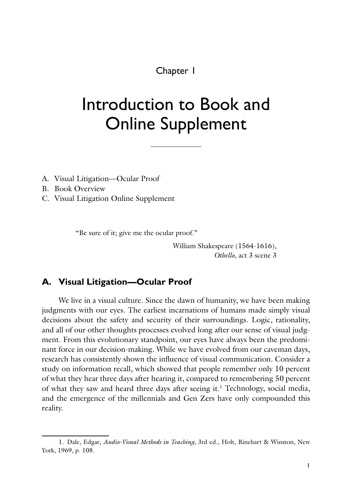Chapter 1

## Introduction to Book and Online Supplement

- A. Visual Litigation—Ocular Proof
- B. Book Overview
- C. Visual Litigation Online Supplement

"Be sure of it; give me the ocular proof."

William Shakespeare (1564-1616), *Othello*, act 3 scene 3

#### **A. Visual Litigation—Ocular Proof**

We live in a visual culture. Since the dawn of humanity, we have been making judgments with our eyes. The earliest incarnations of humans made simply visual decisions about the safety and security of their surroundings. Logic, rationality, and all of our other thoughts processes evolved long after our sense of visual judgment. From this evolutionary standpoint, our eyes have always been the predominant force in our decision-making. While we have evolved from our caveman days, research has consistently shown the influence of visual communication. Consider a study on information recall, which showed that people remember only 10 percent of what they hear three days after hearing it, compared to remembering 50 percent of what they saw and heard three days after seeing it.<sup>1</sup> Technology, social media, and the emergence of the millennials and Gen Zers have only compounded this reality.

<sup>1.</sup> Dale, Edgar, *Audio-Visual Methods in Teaching*, 3rd ed., Holt, Rinehart & Winston, New York, 1969, p. 108.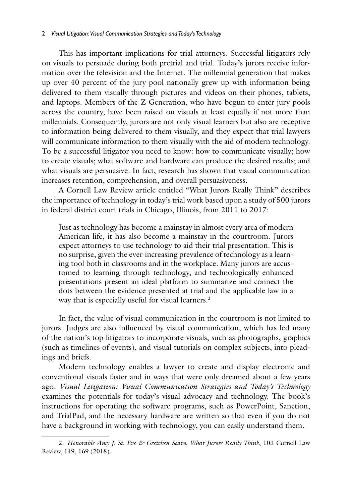#### 2 *Visual Litigation: Visual Communication Strategies and Today's Technology*

This has important implications for trial attorneys. Successful litigators rely on visuals to persuade during both pretrial and trial. Today's jurors receive information over the television and the Internet. The millennial generation that makes up over 40 percent of the jury pool nationally grew up with information being delivered to them visually through pictures and videos on their phones, tablets, and laptops. Members of the Z Generation, who have begun to enter jury pools across the country, have been raised on visuals at least equally if not more than millennials. Consequently, jurors are not only visual learners but also are receptive to information being delivered to them visually, and they expect that trial lawyers will communicate information to them visually with the aid of modern technology. To be a successful litigator you need to know: how to communicate visually; how to create visuals; what software and hardware can produce the desired results; and what visuals are persuasive. In fact, research has shown that visual communication increases retention, comprehension, and overall persuasiveness.

A Cornell Law Review article entitled "What Jurors Really Think" describes the importance of technology in today's trial work based upon a study of 500 jurors in federal district court trials in Chicago, Illinois, from 2011 to 2017:

Just as technology has become a mainstay in almost every area of modern American life, it has also become a mainstay in the courtroom. Jurors expect attorneys to use technology to aid their trial presentation. This is no surprise, given the ever-increasing prevalence of technology as a learning tool both in classrooms and in the workplace. Many jurors are accustomed to learning through technology, and technologically enhanced presentations present an ideal platform to summarize and connect the dots between the evidence presented at trial and the applicable law in a way that is especially useful for visual learners.<sup>2</sup>

In fact, the value of visual communication in the courtroom is not limited to jurors. Judges are also influenced by visual communication, which has led many of the nation's top litigators to incorporate visuals, such as photographs, graphics (such as timelines of events), and visual tutorials on complex subjects, into pleadings and briefs.

Modern technology enables a lawyer to create and display electronic and conventional visuals faster and in ways that were only dreamed about a few years ago. *Visual Litigation: Visual Communication Strategies and Today's Technology*  examines the potentials for today's visual advocacy and technology. The book's instructions for operating the software programs, such as PowerPoint, Sanction, and TrialPad, and the necessary hardware are written so that even if you do not have a background in working with technology, you can easily understand them.

<sup>2.</sup> *Honorable Amy J. St. Eve & Gretchen Scavo, What Jurors Really Think*, 103 Cornell Law Review, 149, 169 (2018).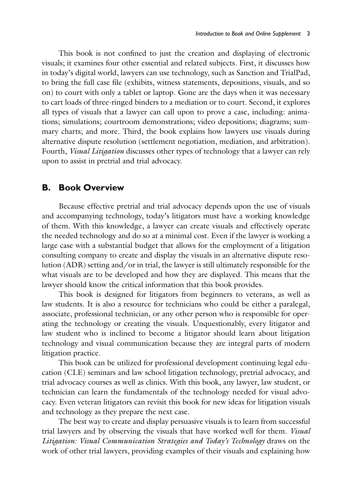This book is not confined to just the creation and displaying of electronic visuals; it examines four other essential and related subjects. First, it discusses how in today's digital world, lawyers can use technology, such as Sanction and TrialPad, to bring the full case file (exhibits, witness statements, depositions, visuals, and so on) to court with only a tablet or laptop. Gone are the days when it was necessary to cart loads of three-ringed binders to a mediation or to court. Second, it explores all types of visuals that a lawyer can call upon to prove a case, including: animations; simulations; courtroom demonstrations; video depositions; diagrams; summary charts; and more. Third, the book explains how lawyers use visuals during alternative dispute resolution (settlement negotiation, mediation, and arbitration). Fourth, *Visual Litigation* discusses other types of technology that a lawyer can rely upon to assist in pretrial and trial advocacy.

#### **B. Book Overview**

Because effective pretrial and trial advocacy depends upon the use of visuals and accompanying technology, today's litigators must have a working knowledge of them. With this knowledge, a lawyer can create visuals and effectively operate the needed technology and do so at a minimal cost. Even if the lawyer is working a large case with a substantial budget that allows for the employment of a litigation consulting company to create and display the visuals in an alternative dispute resolution (ADR) setting and/or in trial, the lawyer is still ultimately responsible for the what visuals are to be developed and how they are displayed. This means that the lawyer should know the critical information that this book provides.

This book is designed for litigators from beginners to veterans, as well as law students. It is also a resource for technicians who could be either a paralegal, associate, professional technician, or any other person who is responsible for operating the technology or creating the visuals. Unquestionably, every litigator and law student who is inclined to become a litigator should learn about litigation technology and visual communication because they are integral parts of modern litigation practice.

This book can be utilized for professional development continuing legal education (CLE) seminars and law school litigation technology, pretrial advocacy, and trial advocacy courses as well as clinics. With this book, any lawyer, law student, or technician can learn the fundamentals of the technology needed for visual advocacy. Even veteran litigators can revisit this book for new ideas for litigation visuals and technology as they prepare the next case.

The best way to create and display persuasive visuals is to learn from successful trial lawyers and by observing the visuals that have worked well for them. *Visual Litigation: Visual Communication Strategies and Today's Technology* draws on the work of other trial lawyers, providing examples of their visuals and explaining how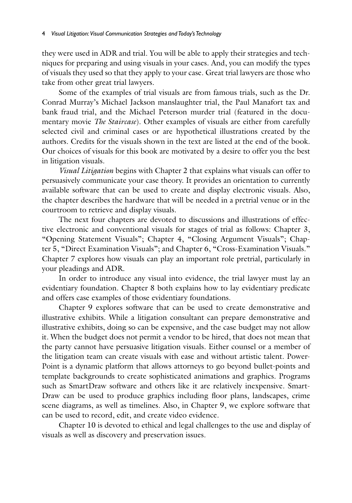they were used in ADR and trial. You will be able to apply their strategies and techniques for preparing and using visuals in your cases. And, you can modify the types of visuals they used so that they apply to your case. Great trial lawyers are those who take from other great trial lawyers.

Some of the examples of trial visuals are from famous trials, such as the Dr. Conrad Murray's Michael Jackson manslaughter trial, the Paul Manafort tax and bank fraud trial, and the Michael Peterson murder trial (featured in the documentary movie *The Staircase*). Other examples of visuals are either from carefully selected civil and criminal cases or are hypothetical illustrations created by the authors. Credits for the visuals shown in the text are listed at the end of the book. Our choices of visuals for this book are motivated by a desire to offer you the best in litigation visuals.

*Visual Litigation* begins with Chapter 2 that explains what visuals can offer to persuasively communicate your case theory. It provides an orientation to currently available software that can be used to create and display electronic visuals. Also, the chapter describes the hardware that will be needed in a pretrial venue or in the courtroom to retrieve and display visuals.

The next four chapters are devoted to discussions and illustrations of effective electronic and conventional visuals for stages of trial as follows: Chapter 3, "Opening Statement Visuals"; Chapter 4, "Closing Argument Visuals"; Chapter 5, "Direct Examination Visuals"; and Chapter 6, "Cross-Examination Visuals." Chapter 7 explores how visuals can play an important role pretrial, particularly in your pleadings and ADR.

In order to introduce any visual into evidence, the trial lawyer must lay an evidentiary foundation. Chapter 8 both explains how to lay evidentiary predicate and offers case examples of those evidentiary foundations.

Chapter 9 explores software that can be used to create demonstrative and illustrative exhibits. While a litigation consultant can prepare demonstrative and illustrative exhibits, doing so can be expensive, and the case budget may not allow it. When the budget does not permit a vendor to be hired, that does not mean that the party cannot have persuasive litigation visuals. Either counsel or a member of the litigation team can create visuals with ease and without artistic talent. Power-Point is a dynamic platform that allows attorneys to go beyond bullet-points and template backgrounds to create sophisticated animations and graphics. Programs such as SmartDraw software and others like it are relatively inexpensive. Smart-Draw can be used to produce graphics including floor plans, landscapes, crime scene diagrams, as well as timelines. Also, in Chapter 9, we explore software that can be used to record, edit, and create video evidence.

Chapter 10 is devoted to ethical and legal challenges to the use and display of visuals as well as discovery and preservation issues.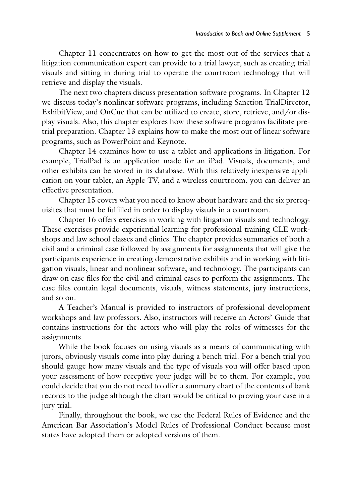Chapter 11 concentrates on how to get the most out of the services that a litigation communication expert can provide to a trial lawyer, such as creating trial visuals and sitting in during trial to operate the courtroom technology that will retrieve and display the visuals.

The next two chapters discuss presentation software programs. In Chapter 12 we discuss today's nonlinear software programs, including Sanction TrialDirector, ExhibitView, and OnCue that can be utilized to create, store, retrieve, and/or display visuals. Also, this chapter explores how these software programs facilitate pretrial preparation. Chapter 13 explains how to make the most out of linear software programs, such as PowerPoint and Keynote.

Chapter 14 examines how to use a tablet and applications in litigation. For example, TrialPad is an application made for an iPad. Visuals, documents, and other exhibits can be stored in its database. With this relatively inexpensive application on your tablet, an Apple TV, and a wireless courtroom, you can deliver an effective presentation.

Chapter 15 covers what you need to know about hardware and the six prerequisites that must be fulfilled in order to display visuals in a courtroom.

Chapter 16 offers exercises in working with litigation visuals and technology. These exercises provide experiential learning for professional training CLE workshops and law school classes and clinics. The chapter provides summaries of both a civil and a criminal case followed by assignments for assignments that will give the participants experience in creating demonstrative exhibits and in working with litigation visuals, linear and nonlinear software, and technology. The participants can draw on case files for the civil and criminal cases to perform the assignments. The case files contain legal documents, visuals, witness statements, jury instructions, and so on.

A Teacher's Manual is provided to instructors of professional development workshops and law professors. Also, instructors will receive an Actors' Guide that contains instructions for the actors who will play the roles of witnesses for the assignments.

While the book focuses on using visuals as a means of communicating with jurors, obviously visuals come into play during a bench trial. For a bench trial you should gauge how many visuals and the type of visuals you will offer based upon your assessment of how receptive your judge will be to them. For example, you could decide that you do not need to offer a summary chart of the contents of bank records to the judge although the chart would be critical to proving your case in a jury trial.

Finally, throughout the book, we use the Federal Rules of Evidence and the American Bar Association's Model Rules of Professional Conduct because most states have adopted them or adopted versions of them.